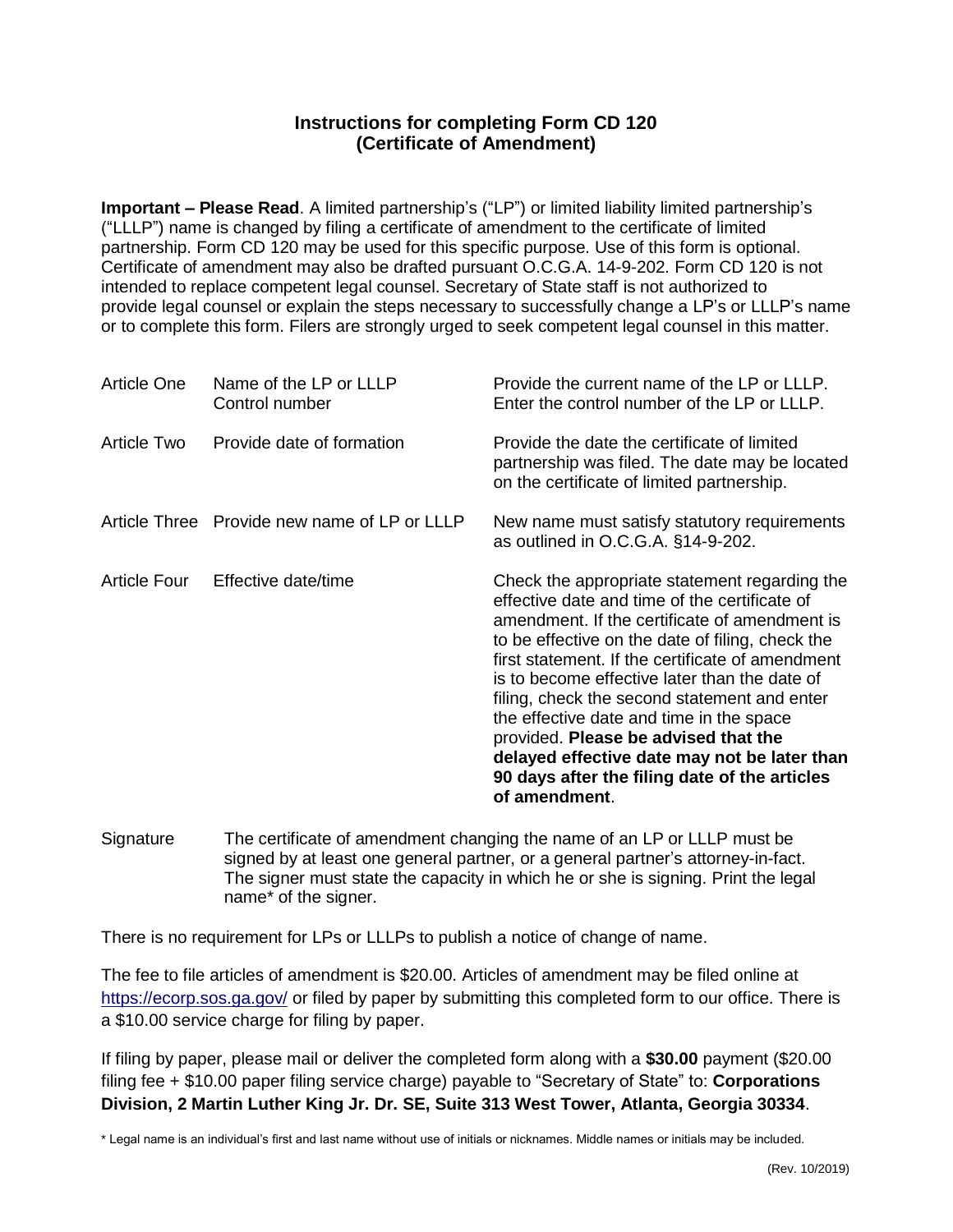## **Instructions for completing Form CD 120 (Certificate of Amendment)**

**Important – Please Read**. A limited partnership's ("LP") or limited liability limited partnership's ("LLLP") name is changed by filing a certificate of amendment to the certificate of limited partnership. Form CD 120 may be used for this specific purpose. Use of this form is optional. Certificate of amendment may also be drafted pursuant O.C.G.A. 14-9-202. Form CD 120 is not intended to replace competent legal counsel. Secretary of State staff is not authorized to provide legal counsel or explain the steps necessary to successfully change a LP's or LLLP's name or to complete this form. Filers are strongly urged to seek competent legal counsel in this matter.

| <b>Article One</b>  | Name of the LP or LLLP<br>Control number     | Provide the current name of the LP or LLLP.<br>Enter the control number of the LP or LLLP.                                                                                                                                                                                                                                                                                                                                                                                                                                                                     |
|---------------------|----------------------------------------------|----------------------------------------------------------------------------------------------------------------------------------------------------------------------------------------------------------------------------------------------------------------------------------------------------------------------------------------------------------------------------------------------------------------------------------------------------------------------------------------------------------------------------------------------------------------|
| Article Two         | Provide date of formation                    | Provide the date the certificate of limited<br>partnership was filed. The date may be located<br>on the certificate of limited partnership.                                                                                                                                                                                                                                                                                                                                                                                                                    |
|                     | Article Three Provide new name of LP or LLLP | New name must satisfy statutory requirements<br>as outlined in O.C.G.A. §14-9-202.                                                                                                                                                                                                                                                                                                                                                                                                                                                                             |
| <b>Article Four</b> | Effective date/time                          | Check the appropriate statement regarding the<br>effective date and time of the certificate of<br>amendment. If the certificate of amendment is<br>to be effective on the date of filing, check the<br>first statement. If the certificate of amendment<br>is to become effective later than the date of<br>filing, check the second statement and enter<br>the effective date and time in the space<br>provided. Please be advised that the<br>delayed effective date may not be later than<br>90 days after the filing date of the articles<br>of amendment. |

Signature The certificate of amendment changing the name of an LP or LLLP must be signed by at least one general partner, or a general partner's attorney-in-fact. The signer must state the capacity in which he or she is signing. Print the legal name\* of the signer.

There is no requirement for LPs or LLLPs to publish a notice of change of name.

The fee to file articles of amendment is \$20.00. Articles of amendment may be filed online at <https://ecorp.sos.ga.gov/> or filed by paper by submitting this completed form to our office. There is a \$10.00 service charge for filing by paper.

If filing by paper, please mail or deliver the completed form along with a **\$30.00** payment (\$20.00 filing fee + \$10.00 paper filing service charge) payable to "Secretary of State" to: **Corporations Division, 2 Martin Luther King Jr. Dr. SE, Suite 313 West Tower, Atlanta, Georgia 30334**.

\* Legal name is an individual's first and last name without use of initials or nicknames. Middle names or initials may be included.